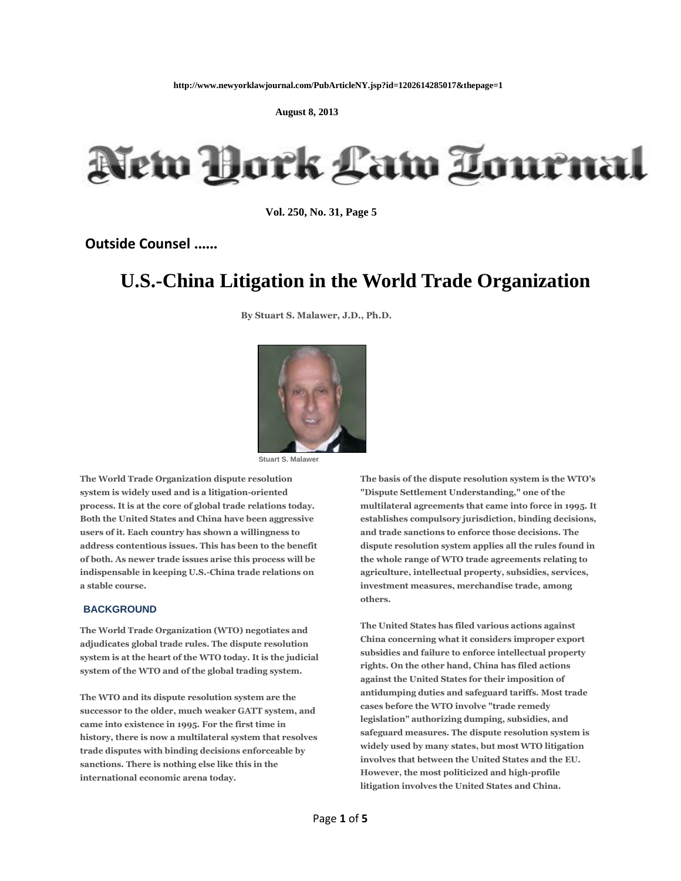**August 8, 2013**



 **Vol. 250, No. 31, Page 5**

**Outside Counsel ......**

# **U.S.-China Litigation in the World Trade Organization**

**By Stuart S. Malawer, J.D., Ph.D.**



**Stuart S. Malawer** 

**The World Trade Organization dispute resolution system is widely used and is a litigation-oriented process. It is at the core of global trade relations today. Both the United States and China have been aggressive users of it. Each country has shown a willingness to address contentious issues. This has been to the benefit of both. As newer trade issues arise this process will be indispensable in keeping U.S.-China trade relations on a stable course.** 

#### **BACKGROUND**

**The World Trade Organization (WTO) negotiates and adjudicates global trade rules. The dispute resolution system is at the heart of the WTO today. It is the judicial system of the WTO and of the global trading system.** 

**The WTO and its dispute resolution system are the successor to the older, much weaker GATT system, and came into existence in 1995. For the first time in history, there is now a multilateral system that resolves trade disputes with binding decisions enforceable by sanctions. There is nothing else like this in the international economic arena today.** 

**The basis of the dispute resolution system is the WTO's "Dispute Settlement Understanding," one of the multilateral agreements that came into force in 1995. It establishes compulsory jurisdiction, binding decisions, and trade sanctions to enforce those decisions. The dispute resolution system applies all the rules found in the whole range of WTO trade agreements relating to agriculture, intellectual property, subsidies, services, investment measures, merchandise trade, among others.** 

**The United States has filed various actions against China concerning what it considers improper export subsidies and failure to enforce intellectual property rights. On the other hand, China has filed actions against the United States for their imposition of antidumping duties and safeguard tariffs. Most trade cases before the WTO involve "trade remedy legislation" authorizing dumping, subsidies, and safeguard measures. The dispute resolution system is widely used by many states, but most WTO litigation involves that between the United States and the EU. However, the most politicized and high-profile litigation involves the United States and China.**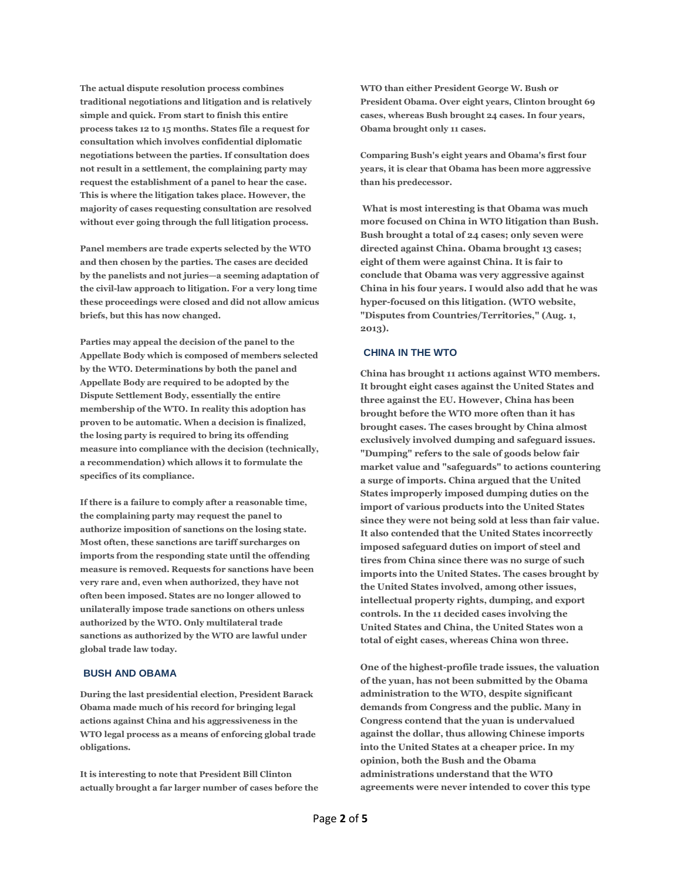**The actual dispute resolution process combines traditional negotiations and litigation and is relatively simple and quick. From start to finish this entire process takes 12 to 15 months. States file a request for consultation which involves confidential diplomatic negotiations between the parties. If consultation does not result in a settlement, the complaining party may request the establishment of a panel to hear the case. This is where the litigation takes place. However, the majority of cases requesting consultation are resolved without ever going through the full litigation process.** 

**Panel members are trade experts selected by the WTO and then chosen by the parties. The cases are decided by the panelists and not juries—a seeming adaptation of the civil-law approach to litigation. For a very long time these proceedings were closed and did not allow amicus briefs, but this has now changed.** 

**Parties may appeal the decision of the panel to the Appellate Body which is composed of members selected by the WTO. Determinations by both the panel and Appellate Body are required to be adopted by the Dispute Settlement Body, essentially the entire membership of the WTO. In reality this adoption has proven to be automatic. When a decision is finalized, the losing party is required to bring its offending measure into compliance with the decision (technically, a recommendation) which allows it to formulate the specifics of its compliance.** 

**If there is a failure to comply after a reasonable time, the complaining party may request the panel to authorize imposition of sanctions on the losing state. Most often, these sanctions are tariff surcharges on imports from the responding state until the offending measure is removed. Requests for sanctions have been very rare and, even when authorized, they have not often been imposed. States are no longer allowed to unilaterally impose trade sanctions on others unless authorized by the WTO. Only multilateral trade sanctions as authorized by the WTO are lawful under global trade law today.** 

### **BUSH AND OBAMA**

**During the last presidential election, President Barack Obama made much of his record for bringing legal actions against China and his aggressiveness in the WTO legal process as a means of enforcing global trade obligations.** 

**It is interesting to note that President Bill Clinton actually brought a far larger number of cases before the**  **WTO than either President George W. Bush or President Obama. Over eight years, Clinton brought 69 cases, whereas Bush brought 24 cases. In four years, Obama brought only 11 cases.** 

**Comparing Bush's eight years and Obama's first four years, it is clear that Obama has been more aggressive than his predecessor.**

**What is most interesting is that Obama was much more focused on China in WTO litigation than Bush. Bush brought a total of 24 cases; only seven were directed against China. Obama brought 13 cases; eight of them were against China. It is fair to conclude that Obama was very aggressive against China in his four years. I would also add that he was hyper-focused on this litigation. (WTO website, "Disputes from Countries/Territories," (Aug. 1, 2013).** 

#### **CHINA IN THE WTO**

**China has brought 11 actions against WTO members. It brought eight cases against the United States and three against the EU. However, China has been brought before the WTO more often than it has brought cases. The cases brought by China almost exclusively involved dumping and safeguard issues. "Dumping" refers to the sale of goods below fair market value and "safeguards" to actions countering a surge of imports. China argued that the United States improperly imposed dumping duties on the import of various products into the United States since they were not being sold at less than fair value. It also contended that the United States incorrectly imposed safeguard duties on import of steel and tires from China since there was no surge of such imports into the United States. The cases brought by the United States involved, among other issues, intellectual property rights, dumping, and export controls. In the 11 decided cases involving the United States and China, the United States won a total of eight cases, whereas China won three.** 

**One of the highest-profile trade issues, the valuation of the yuan, has not been submitted by the Obama administration to the WTO, despite significant demands from Congress and the public. Many in Congress contend that the yuan is undervalued against the dollar, thus allowing Chinese imports into the United States at a cheaper price. In my opinion, both the Bush and the Obama administrations understand that the WTO agreements were never intended to cover this type**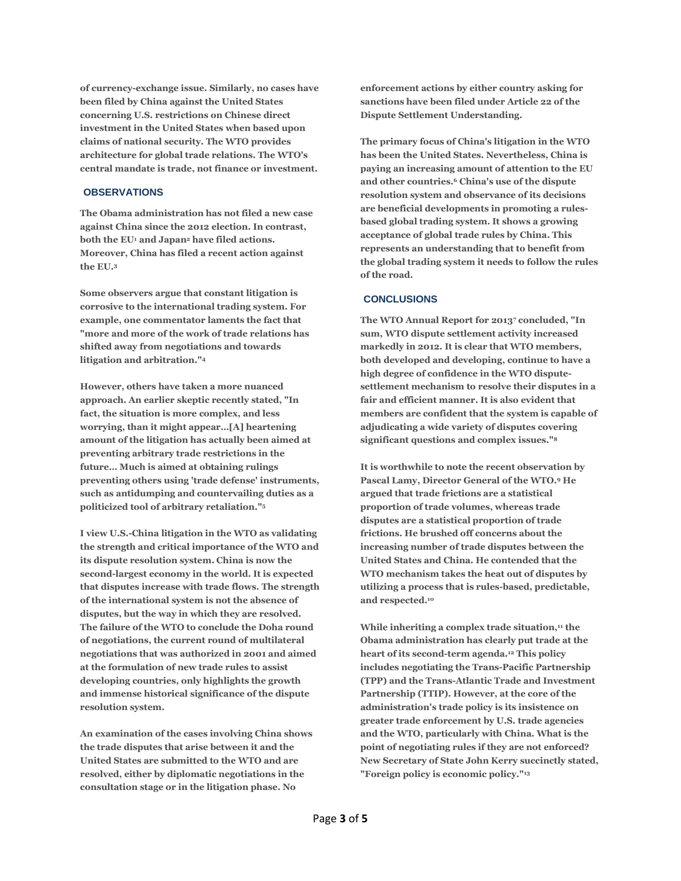**of currency-exchange issue. Similarly, no cases have been filed by China against the United States concerning U.S. restrictions on Chinese direct investment in the United States when based upon claims of national security. The WTO provides architecture for global trade relations. The WTO's central mandate is trade, not finance or investment.** 

## **OBSERVATIONS**

**The Obama administration has not filed a new case against China since the 2012 election. In contrast, both the EU<sup>1</sup> and Japan<sup>2</sup> have filed actions. Moreover, China has filed a recent action against the EU.<sup>3</sup>**

**Some observers argue that constant litigation is corrosive to the international trading system. For example, one commentator laments the fact that "more and more of the work of trade relations has shifted away from negotiations and towards litigation and arbitration."<sup>4</sup>**

**However, others have taken a more nuanced approach. An earlier skeptic recently stated, "In fact, the situation is more complex, and less worrying, than it might appear…[A] heartening amount of the litigation has actually been aimed at preventing arbitrary trade restrictions in the future… Much is aimed at obtaining rulings preventing others using 'trade defense' instruments, such as antidumping and countervailing duties as a politicized tool of arbitrary retaliation."<sup>5</sup>**

**I view U.S.-China litigation in the WTO as validating the strength and critical importance of the WTO and its dispute resolution system. China is now the second-largest economy in the world. It is expected that disputes increase with trade flows. The strength of the international system is not the absence of disputes, but the way in which they are resolved. The failure of the WTO to conclude the Doha round of negotiations, the current round of multilateral negotiations that was authorized in 2001 and aimed at the formulation of new trade rules to assist developing countries, only highlights the growth and immense historical significance of the dispute resolution system.** 

**An examination of the cases involving China shows the trade disputes that arise between it and the United States are submitted to the WTO and are resolved, either by diplomatic negotiations in the consultation stage or in the litigation phase. No** 

**enforcement actions by either country asking for sanctions have been filed under Article 22 of the Dispute Settlement Understanding.** 

**The primary focus of China's litigation in the WTO has been the United States. Nevertheless, China is paying an increasing amount of attention to the EU and other countries.<sup>6</sup> China's use of the dispute resolution system and observance of its decisions are beneficial developments in promoting a rulesbased global trading system. It shows a growing acceptance of global trade rules by China. This represents an understanding that to benefit from the global trading system it needs to follow the rules of the road.** 

#### **CONCLUSIONS**

**The WTO Annual Report for 2013<sup>7</sup> concluded, "In sum, WTO dispute settlement activity increased markedly in 2012. It is clear that WTO members, both developed and developing, continue to have a high degree of confidence in the WTO disputesettlement mechanism to resolve their disputes in a fair and efficient manner. It is also evident that members are confident that the system is capable of adjudicating a wide variety of disputes covering significant questions and complex issues."<sup>8</sup>**

**It is worthwhile to note the recent observation by Pascal Lamy, Director General of the WTO.<sup>9</sup> He argued that trade frictions are a statistical proportion of trade volumes, whereas trade disputes are a statistical proportion of trade frictions. He brushed off concerns about the increasing number of trade disputes between the United States and China. He contended that the WTO mechanism takes the heat out of disputes by utilizing a process that is rules-based, predictable, and respected.<sup>10</sup>**

**While inheriting a complex trade situation,<sup>11</sup> the Obama administration has clearly put trade at the heart of its second-term agenda.<sup>12</sup> This policy includes negotiating the Trans-Pacific Partnership (TPP) and the Trans-Atlantic Trade and Investment Partnership (TTIP). However, at the core of the administration's trade policy is its insistence on greater trade enforcement by U.S. trade agencies and the WTO, particularly with China. What is the point of negotiating rules if they are not enforced? New Secretary of State John Kerry succinctly stated, "Foreign policy is economic policy."13**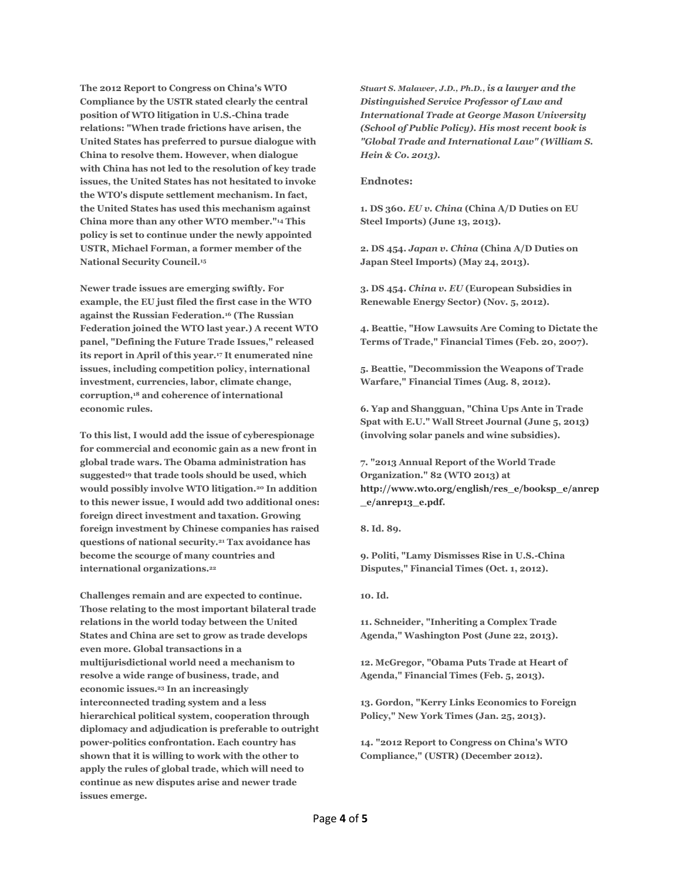**The 2012 Report to Congress on China's WTO Compliance by the USTR stated clearly the central position of WTO litigation in U.S.-China trade relations: "When trade frictions have arisen, the United States has preferred to pursue dialogue with China to resolve them. However, when dialogue with China has not led to the resolution of key trade issues, the United States has not hesitated to invoke the WTO's dispute settlement mechanism. In fact, the United States has used this mechanism against China more than any other WTO member."<sup>14</sup> This policy is set to continue under the newly appointed USTR, Michael Forman, a former member of the National Security Council.<sup>15</sup>**

**Newer trade issues are emerging swiftly. For example, the EU just filed the first case in the WTO against the Russian Federation.<sup>16</sup> (The Russian Federation joined the WTO last year.) A recent WTO panel, "Defining the Future Trade Issues," released its report in April of this year.<sup>17</sup> It enumerated nine issues, including competition policy, international investment, currencies, labor, climate change, corruption,<sup>18</sup> and coherence of international economic rules.** 

**To this list, I would add the issue of cyberespionage for commercial and economic gain as a new front in global trade wars. The Obama administration has suggested<sup>19</sup> that trade tools should be used, which would possibly involve WTO litigation.<sup>20</sup> In addition to this newer issue, I would add two additional ones: foreign direct investment and taxation. Growing foreign investment by Chinese companies has raised questions of national security.<sup>21</sup> Tax avoidance has become the scourge of many countries and international organizations.<sup>22</sup>**

**Challenges remain and are expected to continue. Those relating to the most important bilateral trade relations in the world today between the United States and China are set to grow as trade develops even more. Global transactions in a multijurisdictional world need a mechanism to resolve a wide range of business, trade, and economic issues.<sup>23</sup> In an increasingly interconnected trading system and a less hierarchical political system, cooperation through diplomacy and adjudication is preferable to outright power-politics confrontation. Each country has shown that it is willing to work with the other to apply the rules of global trade, which will need to continue as new disputes arise and newer trade issues emerge.** 

*Stuart S. Malawer, J.D., Ph.D., is a lawyer and the Distinguished Service Professor of Law and International Trade at George Mason University (School of Public Policy). His most recent book is "Global Trade and International Law" (William S. Hein & Co. 2013).*

#### **Endnotes:**

**1. DS 360.** *EU v. China* **(China A/D Duties on EU Steel Imports) (June 13, 2013).** 

**2. DS 454.** *Japan v. China* **(China A/D Duties on Japan Steel Imports) (May 24, 2013).** 

**3. DS 454.** *China v. EU* **(European Subsidies in Renewable Energy Sector) (Nov. 5, 2012).** 

**4. Beattie, "How Lawsuits Are Coming to Dictate the Terms of Trade," Financial Times (Feb. 20, 2007).** 

**5. Beattie, "Decommission the Weapons of Trade Warfare," Financial Times (Aug. 8, 2012).** 

**6. Yap and Shangguan, "China Ups Ante in Trade Spat with E.U." Wall Street Journal (June 5, 2013) (involving solar panels and wine subsidies).** 

**7. "2013 Annual Report of the World Trade Organization." 82 (WTO 2013) at [http://www.wto.org/english/res\\_e/booksp\\_e/anrep](http://www.wto.org/english/res_e/booksp_e/anrep_e/anrep13_e.pdf) [\\_e/anrep13\\_e.pdf.](http://www.wto.org/english/res_e/booksp_e/anrep_e/anrep13_e.pdf)**

**8. Id. 89.** 

**9. Politi, "Lamy Dismisses Rise in U.S.-China Disputes," Financial Times (Oct. 1, 2012).** 

**10. Id.** 

**11. Schneider, "Inheriting a Complex Trade Agenda," Washington Post (June 22, 2013).** 

**12. McGregor, "Obama Puts Trade at Heart of Agenda," Financial Times (Feb. 5, 2013).** 

**13. Gordon, "Kerry Links Economics to Foreign Policy," New York Times (Jan. 25, 2013).** 

**14. "2012 Report to Congress on China's WTO Compliance," (USTR) (December 2012).**